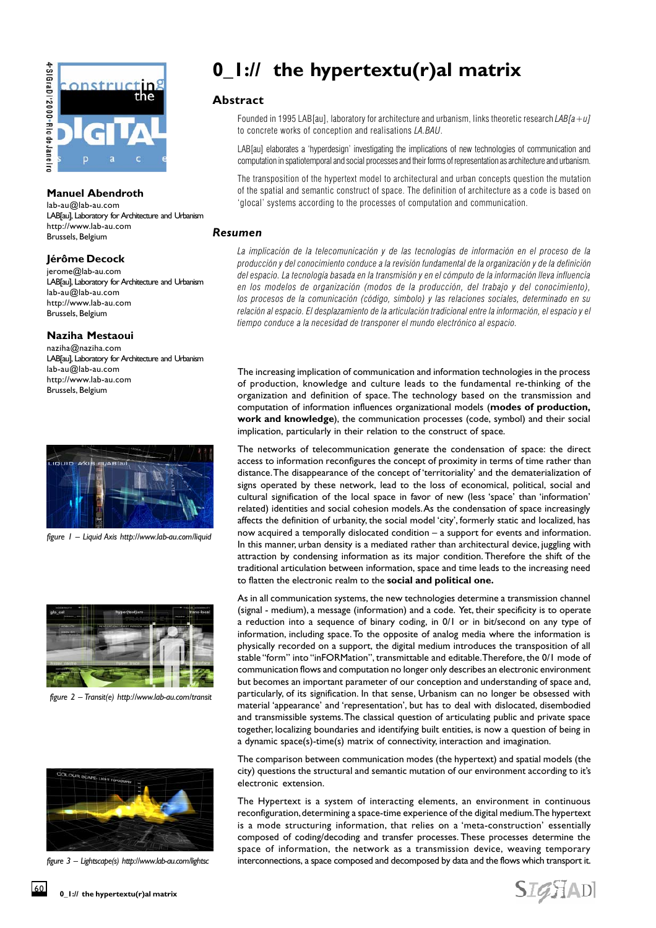

### **Manuel Abendroth**

lab-au@lab-au.com LAB[au], Laboratory for Architecture and Urbanism http://www.lab-au.com Brussels, Belgium

### **Jérôme Decock**

jerome@lab-au.com LAB[au], Laboratory for Architecture and Urbanism lab-au@lab-au.com http://www.lab-au.com Brussels, Belgium

### **Naziha Mestaoui**

naziha@naziha.com LAB[au], Laboratory for Architecture and Urbanism lab-au@lab-au.com http://www.lab-au.com Brussels, Belgium



*figure 1 – Liquid Axis http://www.lab-au.com/liquid*



*figure 2 – Transit(e) http://www.lab-au.com/transit*



*figure 3 – Lightscape(s) http://www.lab-au.com/lightsc*

# **0\_1:// the hypertextu(r)al matrix**

## **Abstract**

Founded in 1995 LAB[au], laboratory for architecture and urbanism, links theoretic research  $LAB[a+u]$ to concrete works of conception and realisations LA.BAU.

LAB[au] elaborates a 'hyperdesign' investigating the implications of new technologies of communication and computation in spatiotemporal and social processes and their forms of representation as architecture and urbanism.

The transposition of the hypertext model to architectural and urban concepts question the mutation of the spatial and semantic construct of space. The definition of architecture as a code is based on 'glocal' systems according to the processes of computation and communication.

### *Resumen*

La implicación de la telecomunicación y de las tecnologías de información en el proceso de la producción y del conocimiento conduce a la revisión fundamental de la organización y de la definición del espacio. La tecnología basada en la transmisión y en el cómputo de la información lleva influencia en los modelos de organización (modos de la producción, del trabajo y del conocimiento), los procesos de la comunicación (código, símbolo) y las relaciones sociales, determinado en su relación al espacio. El desplazamiento de la articulación tradicional entre la información, el espacio y el tiempo conduce a la necesidad de transponer el mundo electrónico al espacio.

The increasing implication of communication and information technologies in the process of production, knowledge and culture leads to the fundamental re-thinking of the organization and definition of space. The technology based on the transmission and computation of information influences organizational models (**modes of production, work and knowledge**), the communication processes (code, symbol) and their social implication, particularly in their relation to the construct of space.

The networks of telecommunication generate the condensation of space: the direct access to information reconfigures the concept of proximity in terms of time rather than distance. The disappearance of the concept of 'territoriality' and the dematerialization of signs operated by these network, lead to the loss of economical, political, social and cultural signification of the local space in favor of new (less 'space' than 'information' related) identities and social cohesion models. As the condensation of space increasingly affects the definition of urbanity, the social model 'city', formerly static and localized, has now acquired a temporally dislocated condition – a support for events and information. In this manner, urban density is a mediated rather than architectural device, juggling with attraction by condensing information as its major condition. Therefore the shift of the traditional articulation between information, space and time leads to the increasing need to flatten the electronic realm to the **social and political one.**

As in all communication systems, the new technologies determine a transmission channel (signal - medium), a message (information) and a code. Yet, their specificity is to operate a reduction into a sequence of binary coding, in 0/1 or in bit/second on any type of information, including space. To the opposite of analog media where the information is physically recorded on a support, the digital medium introduces the transposition of all stable "form" into "inFORMation", transmittable and editable. Therefore, the 0/1 mode of communication flows and computation no longer only describes an electronic environment but becomes an important parameter of our conception and understanding of space and, particularly, of its signification. In that sense, Urbanism can no longer be obsessed with material 'appearance' and 'representation', but has to deal with dislocated, disembodied and transmissible systems. The classical question of articulating public and private space together, localizing boundaries and identifying built entities, is now a question of being in a dynamic space(s)-time(s) matrix of connectivity, interaction and imagination.

The comparison between communication modes (the hypertext) and spatial models (the city) questions the structural and semantic mutation of our environment according to it's electronic extension.

The Hypertext is a system of interacting elements, an environment in continuous reconfiguration, determining a space-time experience of the digital medium. The hypertext is a mode structuring information, that relies on a 'meta-construction' essentially composed of coding/decoding and transfer processes. These processes determine the space of information, the network as a transmission device, weaving temporary interconnections, a space composed and decomposed by data and the flows which transport it.